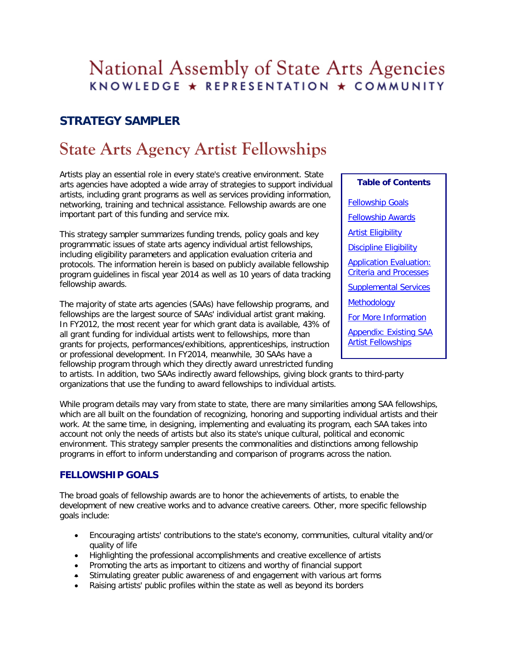# National Assembly of State Arts Agencies KNOWLEDGE \* REPRESENTATION \* COMMUNITY

# **STRATEGY SAMPLER**

# **State Arts Agency Artist Fellowships**

Artists play an essential role in every state's creative environment. State arts agencies have adopted a wide array of strategies to support individual artists, including grant programs as well as services providing information, networking, training and technical assistance. Fellowship awards are one important part of this funding and service mix.

This strategy sampler summarizes funding trends, policy goals and key programmatic issues of state arts agency individual artist fellowships, including eligibility parameters and application evaluation criteria and protocols. The information herein is based on publicly available fellowship program guidelines in fiscal year 2014 as well as 10 years of data tracking fellowship awards.

The majority of state arts agencies (SAAs) have fellowship programs, and fellowships are the largest source of SAAs' individual artist grant making. In FY2012, the most recent year for which grant data is available, 43% of all grant funding for individual artists went to fellowships, more than grants for projects, performances/exhibitions, apprenticeships, instruction or professional development. In FY2014, meanwhile, 30 SAAs have a fellowship program through which they directly award unrestricted funding

**Table of Contents**  [Fellowship Goals](#page-0-0) [Fellowship Awards](#page-1-0) [Artist Eligibility](#page-2-0) **[Discipline Eligibility](#page-3-0)** [Application Evaluation:](#page-4-0)  [Criteria and Processes](#page-4-0) [Supplemental Services](#page-5-0) [Methodology](#page-5-1) [For More Information](#page-5-2) [Appendix: Existing SAA](#page-6-0)  [Artist Fellowships](#page-6-0)

to artists. In addition, two SAAs indirectly award fellowships, giving block grants to third-party organizations that use the funding to award fellowships to individual artists.

While program details may vary from state to state, there are many similarities among SAA fellowships, which are all built on the foundation of recognizing, honoring and supporting individual artists and their work. At the same time, in designing, implementing and evaluating its program, each SAA takes into account not only the needs of artists but also its state's unique cultural, political and economic environment. This strategy sampler presents the commonalities and distinctions among fellowship programs in effort to inform understanding and comparison of programs across the nation.

# <span id="page-0-0"></span>**FELLOWSHIP GOALS**

The broad goals of fellowship awards are to honor the achievements of artists, to enable the development of new creative works and to advance creative careers. Other, more specific fellowship goals include:

- Encouraging artists' contributions to the state's economy, communities, cultural vitality and/or quality of life
- Highlighting the professional accomplishments and creative excellence of artists
- Promoting the arts as important to citizens and worthy of financial support
- Stimulating greater public awareness of and engagement with various art forms
- Raising artists' public profiles within the state as well as beyond its borders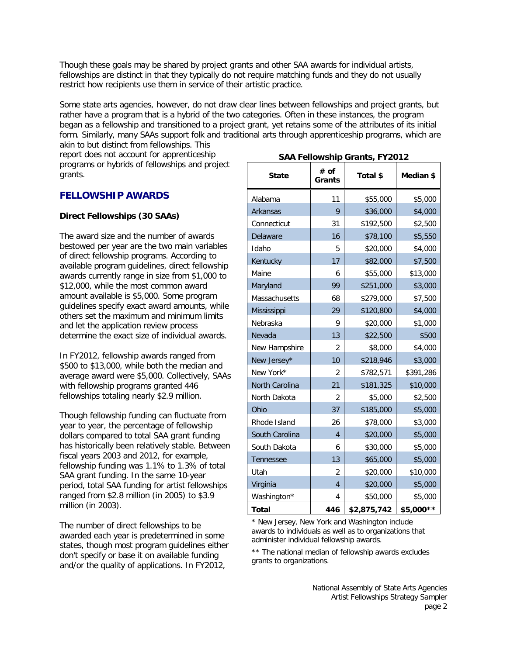Though these goals may be shared by project grants and other SAA awards for individual artists, fellowships are distinct in that they typically do not require matching funds and they do not usually restrict how recipients use them in service of their artistic practice.

Some state arts agencies, however, do not draw clear lines between fellowships and project grants, but rather have a program that is a hybrid of the two categories. Often in these instances, the program began as a fellowship and transitioned to a project grant, yet retains some of the attributes of its initial form. Similarly, many SAAs support folk and traditional arts through apprenticeship programs, which are akin to but distinct from fellowships. This

report does not account for apprenticeship programs or hybrids of fellowships and project grants.

### <span id="page-1-0"></span>**FELLOWSHIP AWARDS**

### **Direct Fellowships (30 SAAs)**

The award size and the number of awards bestowed per year are the two main variables of direct fellowship programs. According to available program guidelines, direct fellowship awards currently range in size from \$1,000 to \$12,000, while the most common award amount available is \$5,000. Some program guidelines specify exact award amounts, while others set the maximum and minimum limits and let the application review process determine the exact size of individual awards.

In FY2012, fellowship awards ranged from \$500 to \$13,000, while both the median and average award were \$5,000. Collectively, SAAs with fellowship programs granted 446 fellowships totaling nearly \$2.9 million.

Though fellowship funding can fluctuate from year to year, the percentage of fellowship dollars compared to total SAA grant funding has historically been relatively stable. Between fiscal years 2003 and 2012, for example, fellowship funding was 1.1% to 1.3% of total SAA grant funding. In the same 10-year period, total SAA funding for artist fellowships ranged from \$2.8 million (in 2005) to \$3.9 million (in 2003).

The number of direct fellowships to be awarded each year is predetermined in some states, though most program guidelines either don't specify or base it on available funding and/or the quality of applications. In FY2012,

| <b>State</b>     | # of<br>Grants | SAA Fellowship Grants, FY2012<br>Total \$ | Median \$ |
|------------------|----------------|-------------------------------------------|-----------|
| Alabama          | 11             | \$55,000                                  | \$5,000   |
| Arkansas         | 9              | \$36,000                                  | \$4,000   |
| Connecticut      | 31             | \$192,500                                 | \$2,500   |
| Delaware         | 16             | \$78,100                                  | \$5,550   |
| Idaho            | 5              | \$20,000                                  | \$4,000   |
| Kentucky         | 17             | \$82,000                                  | \$7,500   |
| Maine            | 6              | \$55,000                                  | \$13,000  |
| Maryland         | 99             | \$251,000                                 | \$3,000   |
| Massachusetts    | 68             | \$279,000                                 | \$7,500   |
| Mississippi      | 29             | \$120,800                                 | \$4,000   |
| Nebraska         | 9              | \$20,000                                  | \$1,000   |
| Nevada           | 13             | \$22,500                                  | \$500     |
| New Hampshire    | 2              | \$8,000                                   | \$4,000   |
| New Jersey*      | 10             | \$218,946                                 | \$3,000   |
| New York*        | $\overline{2}$ | \$782,571                                 | \$391,286 |
| North Carolina   | 21             | \$181,325                                 | \$10,000  |
| North Dakota     | $\overline{2}$ | \$5,000                                   | \$2,500   |
| Ohio             | 37             | \$185,000                                 | \$5,000   |
| Rhode Island     | 26             | \$78,000                                  | \$3,000   |
| South Carolina   | $\overline{4}$ | \$20,000                                  | \$5,000   |
| South Dakota     | 6              | \$30,000                                  | \$5,000   |
| <b>Tennessee</b> | 13             | \$65,000                                  | \$5,000   |
| Utah             | $\overline{2}$ | \$20,000                                  | \$10,000  |
| Virginia         | $\overline{4}$ | \$20,000                                  | \$5,000   |
| Washington*      | 4              | \$50,000                                  | \$5,000   |
| Total            | 446            | \$2,875,742                               | \$5,000** |

### **SAA Fellowship Grants, FY2012**

\* New Jersey, New York and Washington include awards to individuals as well as to organizations that administer individual fellowship awards.

\*\* The national median of fellowship awards excludes grants to organizations.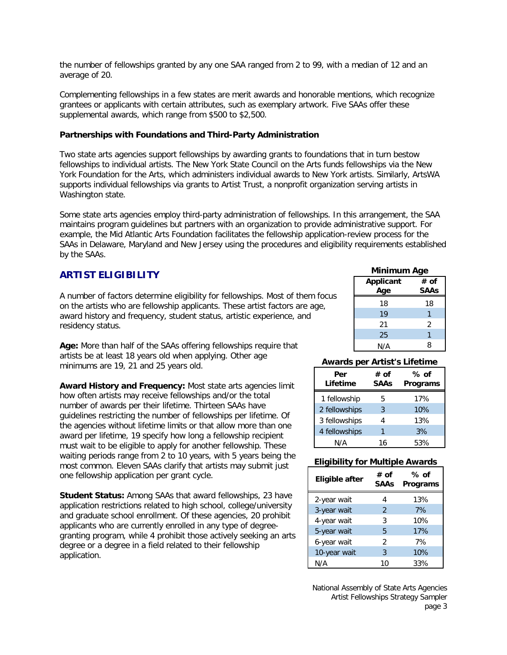the number of fellowships granted by any one SAA ranged from 2 to 99, with a median of 12 and an average of 20.

Complementing fellowships in a few states are merit awards and honorable mentions, which recognize grantees or applicants with certain attributes, such as exemplary artwork. Five SAAs offer these supplemental awards, which range from \$500 to \$2,500.

### **Partnerships with Foundations and Third-Party Administration**

Two state arts agencies support fellowships by awarding grants to foundations that in turn bestow fellowships to individual artists. The New York State Council on the Arts funds fellowships via the New York Foundation for the Arts, which administers individual awards to New York artists. Similarly, ArtsWA supports individual fellowships via grants to Artist Trust, a nonprofit organization serving artists in Washington state.

Some state arts agencies employ third-party administration of fellowships. In this arrangement, the SAA maintains program guidelines but partners with an organization to provide administrative support. For example, the Mid Atlantic Arts Foundation facilitates the fellowship application-review process for the SAAs in Delaware, Maryland and New Jersey using the procedures and eligibility requirements established by the SAAs.

# <span id="page-2-0"></span>**ARTIST ELIGIBILITY**

A number of factors determine eligibility for fellowships. Most of them focus on the artists who are fellowship applicants. These artist factors are age, award history and frequency, student status, artistic experience, and residency status.

**Age:** More than half of the SAAs offering fellowships require that artists be at least 18 years old when applying. Other age minimums are 19, 21 and 25 years old.

**Award History and Frequency:** Most state arts agencies limit how often artists may receive fellowships and/or the total number of awards per their lifetime. Thirteen SAAs have guidelines restricting the number of fellowships per lifetime. Of the agencies without lifetime limits or that allow more than one award per lifetime, 19 specify how long a fellowship recipient must wait to be eligible to apply for another fellowship. These waiting periods range from 2 to 10 years, with 5 years being the most common. Eleven SAAs clarify that artists may submit just one fellowship application per grant cycle.

**Student Status:** Among SAAs that award fellowships, 23 have application restrictions related to high school, college/university and graduate school enrollment. Of these agencies, 20 prohibit applicants who are currently enrolled in any type of degreegranting program, while 4 prohibit those actively seeking an arts degree or a degree in a field related to their fellowship application.

### **Minimum Age**

| <b>Applicant</b><br>Age | # of<br><b>SAAs</b> |
|-------------------------|---------------------|
| 18                      | 18                  |
| 19                      |                     |
| 21                      | 2                   |
| 25                      |                     |
| N/A                     | Զ                   |

### **Awards per Artist's Lifetime**

| Per<br>Lifetime | # of<br><b>SAAs</b> | $%$ of<br>Programs |
|-----------------|---------------------|--------------------|
| 1 fellowship    | 5                   | 17%                |
| 2 fellowships   | 3                   | 10%                |
| 3 fellowships   | 4                   | 13%                |
| 4 fellowships   | 1                   | 3%                 |
| N/A             | 16                  | 53%                |

### **Eligibility for Multiple Awards**

| Eligible after | # of<br><b>SAAs</b> | % of<br>Programs |
|----------------|---------------------|------------------|
| 2-year wait    | 4                   | 13%              |
| 3-year wait    | $\mathcal{P}$       | 7%               |
| 4-year wait    | 3                   | 10%              |
| 5-year wait    | 5                   | 17%              |
| 6-year wait    | 2                   | 7%               |
| 10-year wait   | 3                   | 10%              |
| N/A            | 10                  | 33%              |

National Assembly of State Arts Agencies Artist Fellowships Strategy Sampler page 3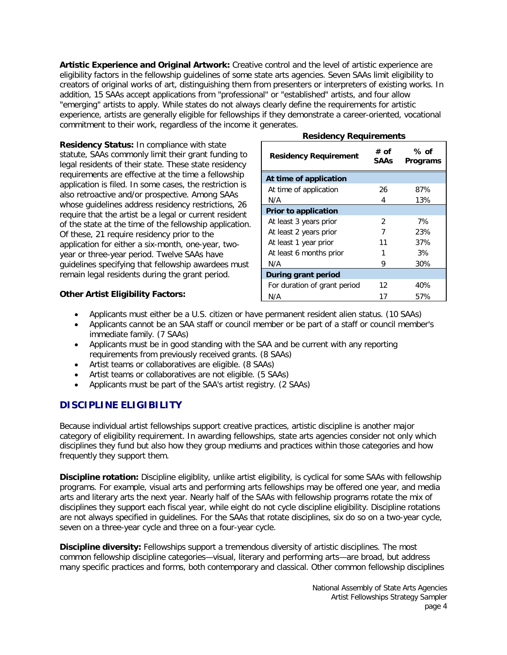**Artistic Experience and Original Artwork:** Creative control and the level of artistic experience are eligibility factors in the fellowship guidelines of some state arts agencies. Seven SAAs limit eligibility to creators of original works of art, distinguishing them from presenters or interpreters of existing works. In addition, 15 SAAs accept applications from "professional" or "established" artists, and four allow "emerging" artists to apply. While states do not always clearly define the requirements for artistic experience, artists are generally eligible for fellowships if they demonstrate a career-oriented, vocational commitment to their work, regardless of the income it generates.

**Residency Status:** In compliance with state statute, SAAs commonly limit their grant funding to legal residents of their state. These state residency requirements are effective at the time a fellowship application is filed. In some cases, the restriction is also retroactive and/or prospective. Among SAAs whose guidelines address residency restrictions, 26 require that the artist be a legal or current resident of the state at the time of the fellowship application. Of these, 21 require residency prior to the application for either a six-month, one-year, twoyear or three-year period. Twelve SAAs have guidelines specifying that fellowship awardees must remain legal residents during the grant period.

# **Residency Requirements**

| <b>Residency Requirement</b> | # of<br>SAAs | % of<br><b>Programs</b> |
|------------------------------|--------------|-------------------------|
| At time of application       |              |                         |
| At time of application       | 26           | 87%                     |
| N/A                          | 4            | 13%                     |
| <b>Prior to application</b>  |              |                         |
| At least 3 years prior       | 2            | 7%                      |
| At least 2 years prior       | 7            | 23%                     |
| At least 1 year prior        | 11           | 37%                     |
| At least 6 months prior      |              | 3%                      |
| N/A                          | 9            | 30%                     |
| During grant period          |              |                         |
| For duration of grant period | 12           | 40%                     |
| N/A                          | 17           | 57%                     |

### **Other Artist Eligibility Factors:**

- Applicants must either be a U.S. citizen or have permanent resident alien status. (10 SAAs)
- Applicants cannot be an SAA staff or council member or be part of a staff or council member's immediate family. (7 SAAs)
- Applicants must be in good standing with the SAA and be current with any reporting requirements from previously received grants. (8 SAAs)
- Artist teams or collaboratives are eligible. (8 SAAs)
- Artist teams or collaboratives are not eligible. (5 SAAs)
- Applicants must be part of the SAA's artist registry. (2 SAAs)

# <span id="page-3-0"></span>**DISCIPLINE ELIGIBILITY**

Because individual artist fellowships support creative practices, artistic discipline is another major category of eligibility requirement. In awarding fellowships, state arts agencies consider not only which disciplines they fund but also how they group mediums and practices within those categories and how frequently they support them.

**Discipline rotation:** Discipline eligiblity, unlike artist eligibility, is cyclical for some SAAs with fellowship programs. For example, visual arts and performing arts fellowships may be offered one year, and media arts and literary arts the next year. Nearly half of the SAAs with fellowship programs rotate the mix of disciplines they support each fiscal year, while eight do not cycle discipline eligibility. Discipline rotations are not always specified in guidelines. For the SAAs that rotate disciplines, six do so on a two-year cycle, seven on a three-year cycle and three on a four-year cycle.

**Discipline diversity:** Fellowships support a tremendous diversity of artistic disciplines. The most common fellowship discipline categories—visual, literary and performing arts—are broad, but address many specific practices and forms, both contemporary and classical. Other common fellowship disciplines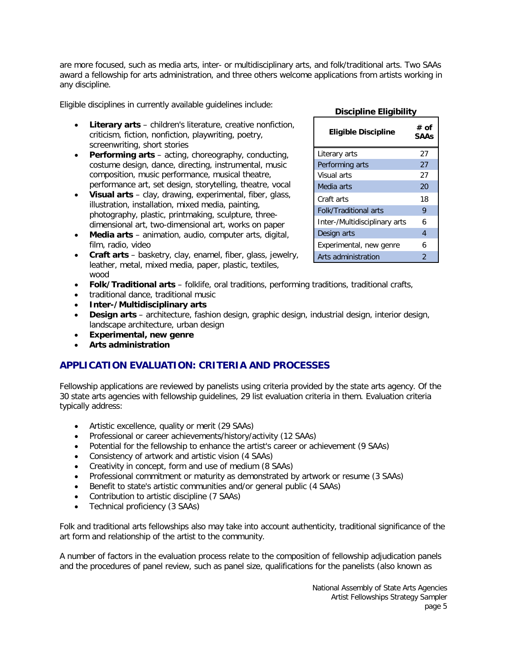are more focused, such as media arts, inter- or multidisciplinary arts, and folk/traditional arts. Two SAAs award a fellowship for arts administration, and three others welcome applications from artists working in any discipline.

Eligible disciplines in currently available guidelines include:

- **Literary arts** children's literature, creative nonfiction, criticism, fiction, nonfiction, playwriting, poetry, screenwriting, short stories
- **Performing arts** acting, choreography, conducting, costume design, dance, directing, instrumental, music composition, music performance, musical theatre, performance art, set design, storytelling, theatre, vocal
- **Visual arts** clay, drawing, experimental, fiber, glass, illustration, installation, mixed media, painting, photography, plastic, printmaking, sculpture, threedimensional art, two-dimensional art, works on paper
- **Media arts** animation, audio, computer arts, digital, film, radio, video
- **Craft arts**  basketry, clay, enamel, fiber, glass, jewelry, leather, metal, mixed media, paper, plastic, textiles, wood
- **Folk/Traditional arts** folklife, oral traditions, performing traditions, traditional crafts,
- traditional dance, traditional music
- **Inter-/Multidisciplinary arts**
- **Design arts**  architecture, fashion design, graphic design, industrial design, interior design, landscape architecture, urban design
- **Experimental, new genre**
- **Arts administration**

# <span id="page-4-0"></span>**APPLICATION EVALUATION: CRITERIA AND PROCESSES**

Fellowship applications are reviewed by panelists using criteria provided by the state arts agency. Of the 30 state arts agencies with fellowship guidelines, 29 list evaluation criteria in them. Evaluation criteria typically address:

- Artistic excellence, quality or merit (29 SAAs)
- Professional or career achievements/history/activity (12 SAAs)
- Potential for the fellowship to enhance the artist's career or achievement (9 SAAs)
- Consistency of artwork and artistic vision (4 SAAs)
- Creativity in concept, form and use of medium (8 SAAs)
- Professional commitment or maturity as demonstrated by artwork or resume (3 SAAs)
- Benefit to state's artistic communities and/or general public (4 SAAs)
- Contribution to artistic discipline (7 SAAs)
- Technical proficiency (3 SAAs)

Folk and traditional arts fellowships also may take into account authenticity, traditional significance of the art form and relationship of the artist to the community.

A number of factors in the evaluation process relate to the composition of fellowship adjudication panels and the procedures of panel review, such as panel size, qualifications for the panelists (also known as

#### National Assembly of State Arts Agencies Artist Fellowships Strategy Sampler page 5

### **Discipline Eligibility**

| <b>Eligible Discipline</b>    | # of<br>SAAs |
|-------------------------------|--------------|
| Literary arts                 | 27           |
| Performing arts               | 27           |
| Visual arts                   | 27           |
| Media arts                    | 20           |
| Craft arts                    | 18           |
| <b>Folk/Traditional arts</b>  | 9            |
| Inter-/Multidisciplinary arts | 6            |
| Design arts                   | 4            |
| Experimental, new genre       | 6            |
| Arts administration           | 2            |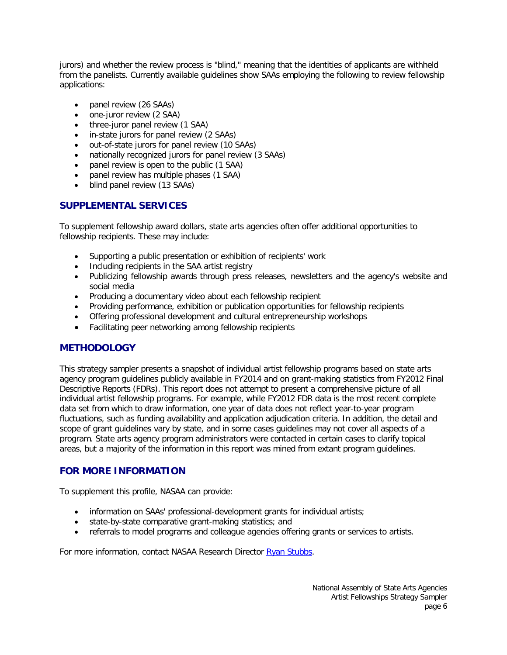jurors) and whether the review process is "blind," meaning that the identities of applicants are withheld from the panelists. Currently available guidelines show SAAs employing the following to review fellowship applications:

- panel review (26 SAAs)
- one-juror review (2 SAA)
- three-juror panel review (1 SAA)
- in-state jurors for panel review (2 SAAs)
- out-of-state jurors for panel review (10 SAAs)
- nationally recognized jurors for panel review (3 SAAs)
- panel review is open to the public (1 SAA)
- panel review has multiple phases (1 SAA)
- blind panel review (13 SAAs)

## <span id="page-5-0"></span>**SUPPLEMENTAL SERVICES**

To supplement fellowship award dollars, state arts agencies often offer additional opportunities to fellowship recipients. These may include:

- Supporting a public presentation or exhibition of recipients' work
- Including recipients in the SAA artist registry
- Publicizing fellowship awards through press releases, newsletters and the agency's website and social media
- Producing a documentary video about each fellowship recipient
- Providing performance, exhibition or publication opportunities for fellowship recipients
- Offering professional development and cultural entrepreneurship workshops
- Facilitating peer networking among fellowship recipients

### <span id="page-5-1"></span>**METHODOLOGY**

This strategy sampler presents a snapshot of individual artist fellowship programs based on state arts agency program guidelines publicly available in FY2014 and on grant-making statistics from FY2012 Final Descriptive Reports (FDRs). This report does not attempt to present a comprehensive picture of all individual artist fellowship programs. For example, while FY2012 FDR data is the most recent complete data set from which to draw information, one year of data does not reflect year-to-year program fluctuations, such as funding availability and application adjudication criteria. In addition, the detail and scope of grant guidelines vary by state, and in some cases guidelines may not cover all aspects of a program. State arts agency program administrators were contacted in certain cases to clarify topical areas, but a majority of the information in this report was mined from extant program guidelines.

### <span id="page-5-2"></span>**FOR MORE INFORMATION**

To supplement this profile, NASAA can provide:

- information on SAAs' professional-development grants for individual artists;
- state-by-state comparative grant-making statistics; and
- referrals to model programs and colleague agencies offering grants or services to artists.

For more information, contact NASAA Research Director [Ryan Stubbs.](mailto:ryan.stubbs@nasaa-arts.org)